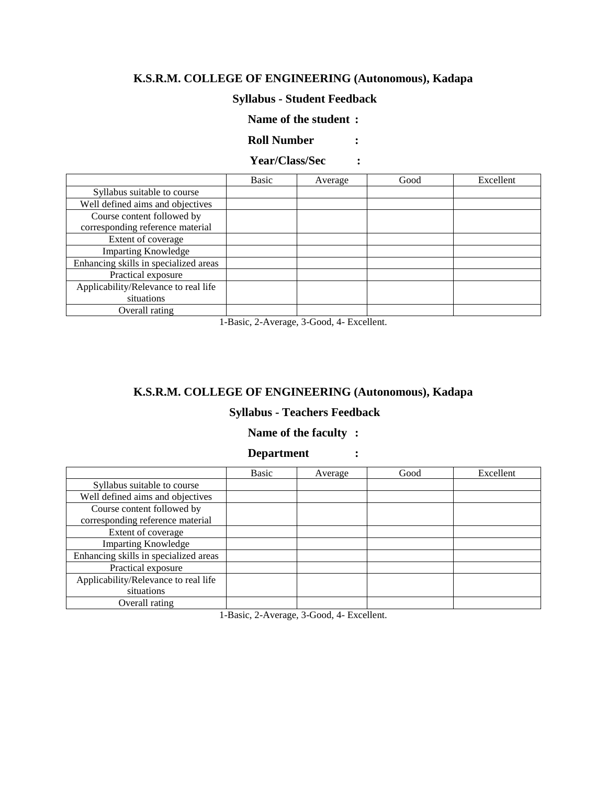## **Syllabus - Student Feedback**

### **Name of the student :**

**Roll Number :**

## **Year/Class/Sec :**

|                                       | Basic | Average | Good | Excellent |
|---------------------------------------|-------|---------|------|-----------|
| Syllabus suitable to course           |       |         |      |           |
| Well defined aims and objectives      |       |         |      |           |
| Course content followed by            |       |         |      |           |
| corresponding reference material      |       |         |      |           |
| Extent of coverage                    |       |         |      |           |
| <b>Imparting Knowledge</b>            |       |         |      |           |
| Enhancing skills in specialized areas |       |         |      |           |
| Practical exposure                    |       |         |      |           |
| Applicability/Relevance to real life  |       |         |      |           |
| situations                            |       |         |      |           |
| Overall rating                        |       |         |      |           |

1-Basic, 2-Average, 3-Good, 4- Excellent.

### **K.S.R.M. COLLEGE OF ENGINEERING (Autonomous), Kadapa**

### **Syllabus - Teachers Feedback**

#### **Name of the faculty :**

### **Department :**

|                                       | Basic | Average | Good | Excellent |
|---------------------------------------|-------|---------|------|-----------|
| Syllabus suitable to course           |       |         |      |           |
| Well defined aims and objectives      |       |         |      |           |
| Course content followed by            |       |         |      |           |
| corresponding reference material      |       |         |      |           |
| Extent of coverage                    |       |         |      |           |
| <b>Imparting Knowledge</b>            |       |         |      |           |
| Enhancing skills in specialized areas |       |         |      |           |
| Practical exposure                    |       |         |      |           |
| Applicability/Relevance to real life  |       |         |      |           |
| situations                            |       |         |      |           |
| Overall rating                        |       |         |      |           |

1-Basic, 2-Average, 3-Good, 4- Excellent.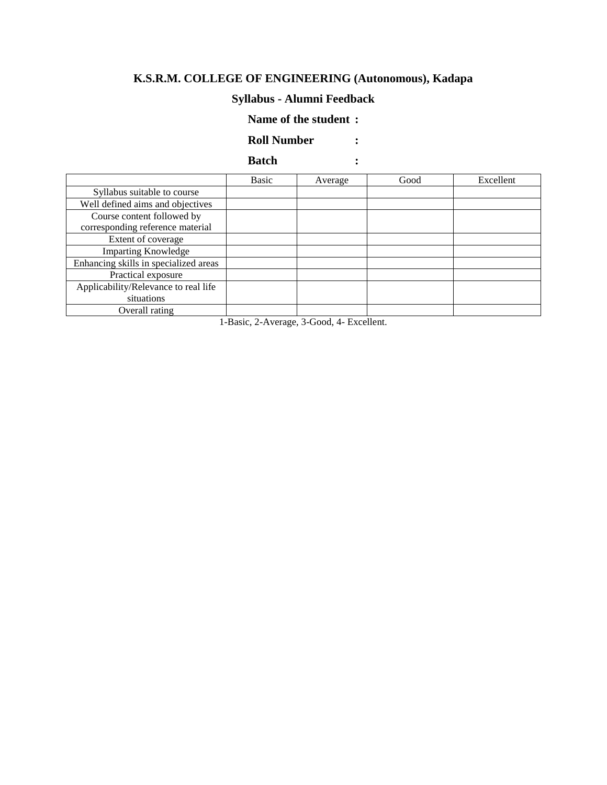# **Syllabus - Alumni Feedback**

#### **Name of the student :**

### **Roll Number :**

### **Batch :**

|                                       | Basic | Average | Good | Excellent |
|---------------------------------------|-------|---------|------|-----------|
| Syllabus suitable to course           |       |         |      |           |
| Well defined aims and objectives      |       |         |      |           |
| Course content followed by            |       |         |      |           |
| corresponding reference material      |       |         |      |           |
| Extent of coverage                    |       |         |      |           |
| <b>Imparting Knowledge</b>            |       |         |      |           |
| Enhancing skills in specialized areas |       |         |      |           |
| Practical exposure                    |       |         |      |           |
| Applicability/Relevance to real life  |       |         |      |           |
| situations                            |       |         |      |           |
| Overall rating                        |       |         |      |           |

1-Basic, 2-Average, 3-Good, 4- Excellent.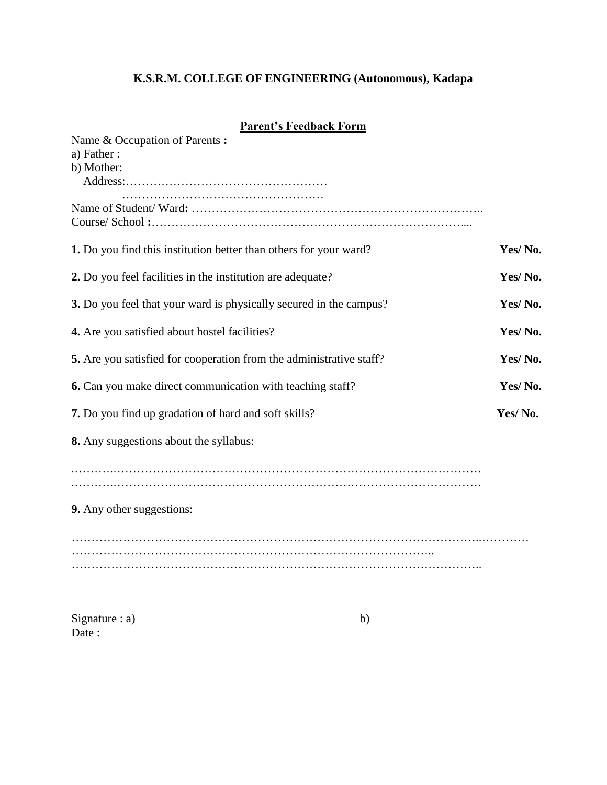# **Parent's Feedback Form**

| Name & Occupation of Parents:                                       |         |
|---------------------------------------------------------------------|---------|
| a) Father:                                                          |         |
| b) Mother:                                                          |         |
|                                                                     |         |
|                                                                     |         |
|                                                                     |         |
|                                                                     |         |
| 1. Do you find this institution better than others for your ward?   | Yes/No. |
|                                                                     |         |
| 2. Do you feel facilities in the institution are adequate?          | Yes/No. |
|                                                                     |         |
| 3. Do you feel that your ward is physically secured in the campus?  | Yes/No. |
|                                                                     | Yes/No. |
| 4. Are you satisfied about hostel facilities?                       |         |
| 5. Are you satisfied for cooperation from the administrative staff? | Yes/No. |
|                                                                     |         |
| 6. Can you make direct communication with teaching staff?           | Yes/No. |
|                                                                     |         |
| 7. Do you find up gradation of hard and soft skills?                | Yes/No. |
| 8. Any suggestions about the syllabus:                              |         |
|                                                                     |         |
|                                                                     |         |
|                                                                     |         |
|                                                                     |         |
| 9. Any other suggestions:                                           |         |
|                                                                     |         |
|                                                                     |         |
|                                                                     |         |
|                                                                     |         |

 $Signature : a)$  b) Date :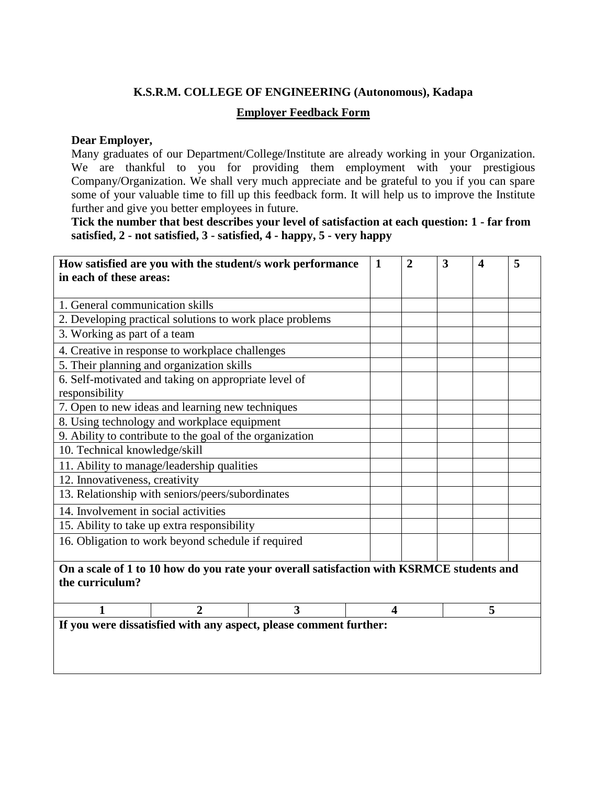### **Employer Feedback Form**

#### **Dear Employer,**

Many graduates of our Department/College/Institute are already working in your Organization. We are thankful to you for providing them employment with your prestigious Company/Organization. We shall very much appreciate and be grateful to you if you can spare some of your valuable time to fill up this feedback form. It will help us to improve the Institute further and give you better employees in future.

**Tick the number that best describes your level of satisfaction at each question: 1 - far from satisfied, 2 - not satisfied, 3 - satisfied, 4 - happy, 5 - very happy**

| How satisfied are you with the student/s work performance         |                                                          |                                                                                          | 1 | $\overline{2}$ | 3 | $\boldsymbol{4}$ | 5 |
|-------------------------------------------------------------------|----------------------------------------------------------|------------------------------------------------------------------------------------------|---|----------------|---|------------------|---|
| in each of these areas:                                           |                                                          |                                                                                          |   |                |   |                  |   |
|                                                                   |                                                          |                                                                                          |   |                |   |                  |   |
| 1. General communication skills                                   |                                                          |                                                                                          |   |                |   |                  |   |
|                                                                   | 2. Developing practical solutions to work place problems |                                                                                          |   |                |   |                  |   |
| 3. Working as part of a team                                      |                                                          |                                                                                          |   |                |   |                  |   |
|                                                                   | 4. Creative in response to workplace challenges          |                                                                                          |   |                |   |                  |   |
|                                                                   | 5. Their planning and organization skills                |                                                                                          |   |                |   |                  |   |
|                                                                   | 6. Self-motivated and taking on appropriate level of     |                                                                                          |   |                |   |                  |   |
| responsibility                                                    |                                                          |                                                                                          |   |                |   |                  |   |
|                                                                   | 7. Open to new ideas and learning new techniques         |                                                                                          |   |                |   |                  |   |
|                                                                   | 8. Using technology and workplace equipment              |                                                                                          |   |                |   |                  |   |
|                                                                   | 9. Ability to contribute to the goal of the organization |                                                                                          |   |                |   |                  |   |
| 10. Technical knowledge/skill                                     |                                                          |                                                                                          |   |                |   |                  |   |
|                                                                   | 11. Ability to manage/leadership qualities               |                                                                                          |   |                |   |                  |   |
| 12. Innovativeness, creativity                                    |                                                          |                                                                                          |   |                |   |                  |   |
| 13. Relationship with seniors/peers/subordinates                  |                                                          |                                                                                          |   |                |   |                  |   |
| 14. Involvement in social activities                              |                                                          |                                                                                          |   |                |   |                  |   |
| 15. Ability to take up extra responsibility                       |                                                          |                                                                                          |   |                |   |                  |   |
| 16. Obligation to work beyond schedule if required                |                                                          |                                                                                          |   |                |   |                  |   |
|                                                                   |                                                          |                                                                                          |   |                |   |                  |   |
|                                                                   |                                                          | On a scale of 1 to 10 how do you rate your overall satisfaction with KSRMCE students and |   |                |   |                  |   |
| the curriculum?                                                   |                                                          |                                                                                          |   |                |   |                  |   |
|                                                                   | 3<br>5<br>2<br>$\overline{\mathbf{4}}$                   |                                                                                          |   |                |   |                  |   |
| If you were dissatisfied with any aspect, please comment further: |                                                          |                                                                                          |   |                |   |                  |   |
|                                                                   |                                                          |                                                                                          |   |                |   |                  |   |
|                                                                   |                                                          |                                                                                          |   |                |   |                  |   |
|                                                                   |                                                          |                                                                                          |   |                |   |                  |   |